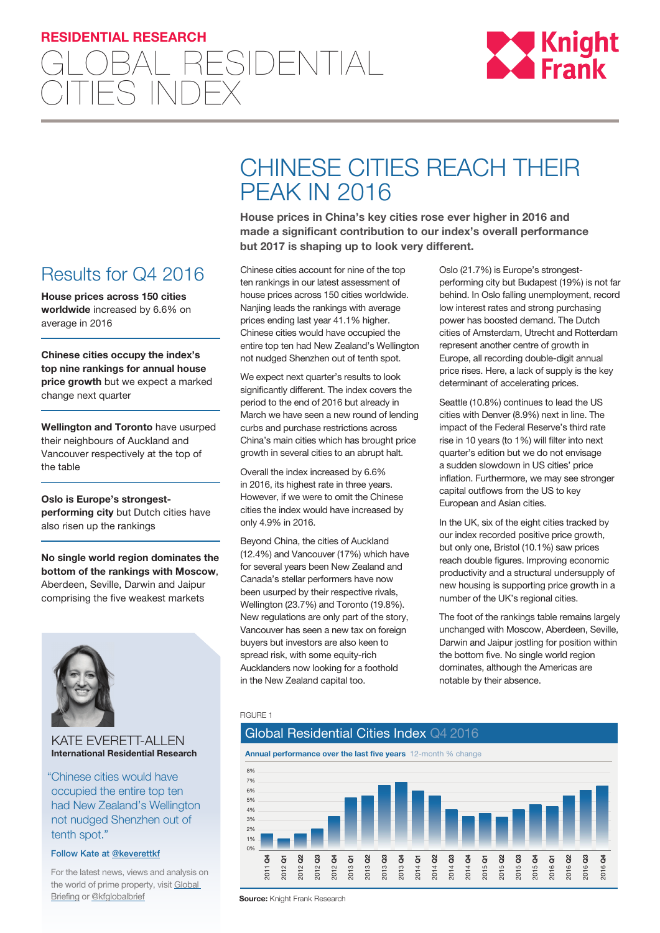## **RESIDENTIAL RESEARCH**





## Results for Q4 2016

**House prices across 150 cities worldwide** increased by 6.6% on average in 2016

**Chinese cities occupy the index's top nine rankings for annual house price growth** but we expect a marked change next quarter

**Wellington and Toronto** have usurped their neighbours of Auckland and Vancouver respectively at the top of the table

**Oslo is Europe's strongestperforming city** but Dutch cities have also risen up the rankings

**No single world region dominates the bottom of the rankings with Moscow**, Aberdeen, Seville, Darwin and Jaipur comprising the five weakest markets



#### KATE EVERETT-ALLEN **International Residential Research**

"Chinese cities would have occupied the entire top ten had New Zealand's Wellington not nudged Shenzhen out of tenth spot."

### Follow Kate at [@k](https://twitter.com/keverettkf)everettk[f](http://www.twitter.com/oliverknightkf)

For the latest news, views and analysis on the world of prime property, visit [Global](http://www.knightfrankblog.com/global-briefing)  **[Briefing](http://www.knightfrankblog.com/global-briefing) or [@kfglobalbrief](https://twitter.com/KFGlobalBrief)** 

# CHINESE CITIES REACH THEIR PEAK IN 2016

**House prices in China's key cities rose ever higher in 2016 and made a significant contribution to our index's overall performance but 2017 is shaping up to look very different.**

Chinese cities account for nine of the top ten rankings in our latest assessment of house prices across 150 cities worldwide. Nanjing leads the rankings with average prices ending last year 41.1% higher. Chinese cities would have occupied the entire top ten had New Zealand's Wellington not nudged Shenzhen out of tenth spot.

We expect next quarter's results to look significantly different. The index covers the period to the end of 2016 but already in March we have seen a new round of lending curbs and purchase restrictions across China's main cities which has brought price growth in several cities to an abrupt halt.

Overall the index increased by 6.6% in 2016, its highest rate in three years. However, if we were to omit the Chinese cities the index would have increased by only 4.9% in 2016.

Beyond China, the cities of Auckland (12.4%) and Vancouver (17%) which have for several years been New Zealand and Canada's stellar performers have now been usurped by their respective rivals, Wellington (23.7%) and Toronto (19.8%). New regulations are only part of the story, Vancouver has seen a new tax on foreign buyers but investors are also keen to spread risk, with some equity-rich Aucklanders now looking for a foothold in the New Zealand capital too.

Oslo (21.7%) is Europe's strongestperforming city but Budapest (19%) is not far behind. In Oslo falling unemployment, record low interest rates and strong purchasing power has boosted demand. The Dutch cities of Amsterdam, Utrecht and Rotterdam represent another centre of growth in Europe, all recording double-digit annual price rises. Here, a lack of supply is the key determinant of accelerating prices.

Seattle (10.8%) continues to lead the US cities with Denver (8.9%) next in line. The impact of the Federal Reserve's third rate rise in 10 years (to 1%) will filter into next quarter's edition but we do not envisage a sudden slowdown in US cities' price inflation. Furthermore, we may see stronger capital outflows from the US to key European and Asian cities.

In the UK, six of the eight cities tracked by our index recorded positive price growth, but only one, Bristol (10.1%) saw prices reach double figures. Improving economic productivity and a structural undersupply of new housing is supporting price growth in a number of the UK's regional cities.

The foot of the rankings table remains largely unchanged with Moscow, Aberdeen, Seville, Darwin and Jaipur jostling for position within the bottom five. No single world region dominates, although the Americas are notable by their absence.

#### FIGURE 1



**Source: Knight Frank Research**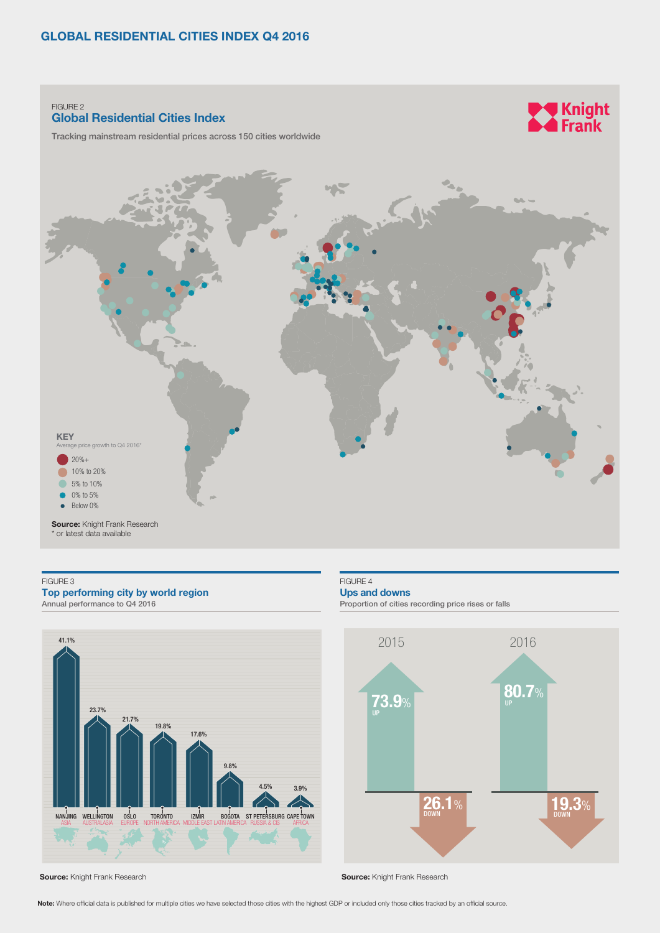#### FIGURE 2 **Global Residential Cities Index**

Tracking mainstream residential prices across 150 cities worldwide



#### FIGURE 3 **Top performing city by world region** 2015 2016 Annual performance to Q4 2016



**Source:** Knight Frank Research

FIGURE 4

**Ups and downs** 

Proportion of cities recording price rises or falls



**WA Knight**<br>A Frank

**Source: Knight Frank Research** 

**Note:** Where official data is published for multiple cities we have selected those cities with the highest GDP or included only those cities tracked by an official source.